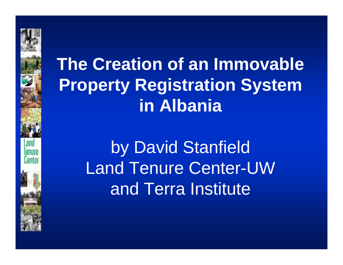

#### **The Creation of an Immovable Property Registration System in Albania**

by David Stanfield Land Tenure Center-UW and Terra Institute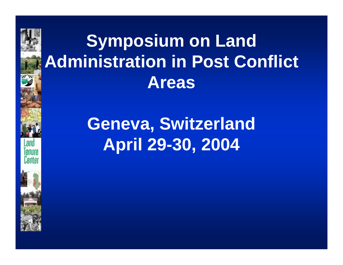## **Symposium on Land Administration in Post Conflict Areas**

**Geneva, Switzerland April 29-30, 2004**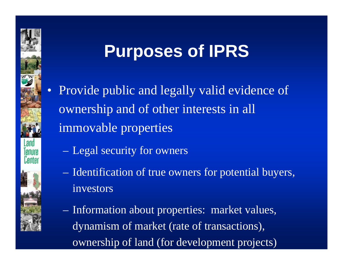#### **Purposes of IPRS**

- Provide public and legally valid evidence of ownership and of other interests in all immovable properties
	- Legal security for owners
	- Identification of true owners for potential buyers, investors
	- Information about properties: market values, dynamism of market (rate of transactions), ownership of land (for development projects)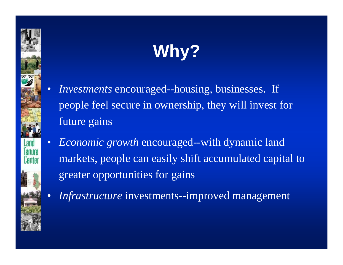# **Why?**

- *Investments* encouraged--housing, businesses. If people feel secure in ownership, they will invest for future gains
- *Economic growth* encouraged--with dynamic land markets, people can easily shift accumulated capital to greater opportunities for gains
	- *Infrastructure* investments--improved management

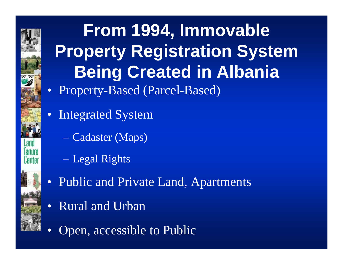

- Integrated System
	- Cadaster (Maps)
	- Legal Rights
- Public and Private Land, Apartments
- **Rural and Urban**
- Open, accessible to Public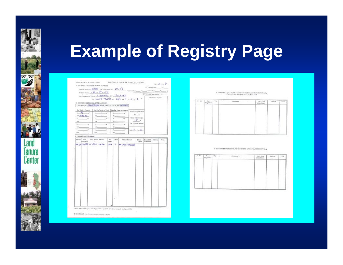

#### **Example of Registry Page**

| 8 - SEXSHOW: : PERSUKRIMIT-TE PASURER<br>LightPoster: NYARTAHEAT Break V.E.N., (a  a Pa, Ref . L.NO2, OS-<br>Sp. Topk e Paurus<br>Sign Sig. Testin: on Trent   Higg Sig. Trunk: an Melwood<br>Photoshua andustries<br>76 a<br>$L = -1$<br>L<br>$\mathcal{M}$<br>WALKE<br>$m = -1$<br>Ref 0016.24<br>field.<br>Kuises e Plesimontesi<br>m,<br>š<br>The County of the<br>ž.<br>×<br>-4<br>Ext.<br>Ed.<br>Bat<br>Nr. (Paula (Pata):<br>L. San Star<br>2<br>$\overline{\phantom{a}}$<br>M.<br>Balt.<br>4x<br>$n + 1 - n - 6$<br>×.<br>4.<br>$\rightarrow$<br>me.<br><b>Bo</b><br>kst.<br>C - SERGITONI I PROMOSINE<br>Nt Dok<br>Dobr<br>Zieri Atriz Morsey<br><b>LV/N</b><br>BC.<br>Adres e Presión<br>Shuma e<br>Day click Stations<br>Tings.<br>Tiong<br>Fagua<br>Contifficials<br>WIZE FLOOR WILL THE KASA<br>4364<br>E<br><b>RE LWIT FOATHERS</b> | 4 - BEGRONI EDITORY/UNIVERSITY/R PASSARIDE<br>Deskaturus 8380 NR. INSUREL 25/4<br>babilities $TR = 0 - 12$<br>Memorganist first TIRANE or TIRANE<br>In NAIM FRACH NO GOLD IN 1 A.W. |  |  | PERFENDIBITARE Memb ( 177) | -5 Have age Vol. 114<br>Problems   Vognal |  |
|---------------------------------------------------------------------------------------------------------------------------------------------------------------------------------------------------------------------------------------------------------------------------------------------------------------------------------------------------------------------------------------------------------------------------------------------------------------------------------------------------------------------------------------------------------------------------------------------------------------------------------------------------------------------------------------------------------------------------------------------------------------------------------------------------------------------------------------------------|-------------------------------------------------------------------------------------------------------------------------------------------------------------------------------------|--|--|----------------------------|-------------------------------------------|--|
|                                                                                                                                                                                                                                                                                                                                                                                                                                                                                                                                                                                                                                                                                                                                                                                                                                                   |                                                                                                                                                                                     |  |  |                            |                                           |  |
|                                                                                                                                                                                                                                                                                                                                                                                                                                                                                                                                                                                                                                                                                                                                                                                                                                                   |                                                                                                                                                                                     |  |  |                            |                                           |  |
|                                                                                                                                                                                                                                                                                                                                                                                                                                                                                                                                                                                                                                                                                                                                                                                                                                                   |                                                                                                                                                                                     |  |  |                            |                                           |  |

#### 

| m > 2 | Daniel<br>Regission: | Tal. | <b>Tonicking</b> | Direction.<br>it Centilum | Shinima | Firms |
|-------|----------------------|------|------------------|---------------------------|---------|-------|
|       |                      |      |                  |                           |         |       |
|       |                      |      |                  |                           |         |       |
|       |                      |      |                  |                           |         |       |
|       |                      |      |                  |                           |         |       |
|       |                      |      |                  |                           |         |       |
|       |                      |      |                  |                           |         |       |
|       | 3-4-1-12             |      | n e              | $\sim$                    |         |       |

#### E - SCHOON I HEOTEKOVE, VENDORIVETE EZIKATES, KIPECHEVE, eQ.

| $\sim$ 200 Then $\sim$ | Decr.<br>Ngjarjen | $T\varphi$ | Pindones | $\begin{array}{c} \text{Done} \& \text{b} \& \text{b} \\ \text{in } \mathbb{Q} \text{in} \& \text{b} \& \text{on} \end{array}$ | Didrive. | First |
|------------------------|-------------------|------------|----------|--------------------------------------------------------------------------------------------------------------------------------|----------|-------|
|                        |                   |            |          |                                                                                                                                |          | ۰     |
|                        |                   |            |          |                                                                                                                                |          |       |
|                        |                   |            |          |                                                                                                                                |          |       |
|                        |                   |            |          |                                                                                                                                |          |       |
|                        |                   |            |          |                                                                                                                                |          |       |
|                        |                   |            |          |                                                                                                                                |          |       |
|                        |                   |            |          |                                                                                                                                |          |       |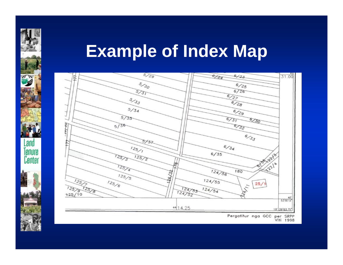#### **Example of Index Map**



Land

Tenure

Center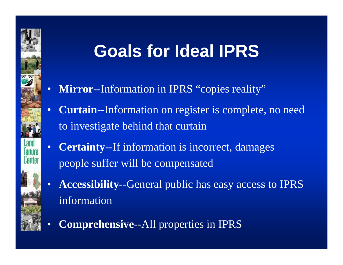#### **Goals for Ideal IPRS**

- **Mirror**--Information in IPRS "copies reality"
- **Curtain**--Information on register is complete, no need to investigate behind that curtain
- **Certainty**--If information is incorrect, damages people suffer will be compensated
- **Accessibility**--General public has easy access to IPRS information
- **Comprehensive**--All properties in IPRS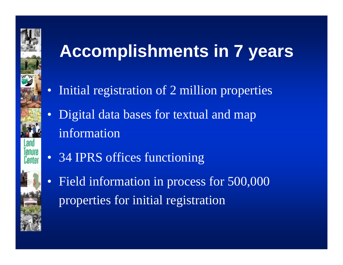

#### **Accomplishments in 7 years**

- Initial registration of 2 million properties
- Digital data bases for textual and map information
- 34 IPRS offices functioning
- Field information in process for 500,000 properties for initial registration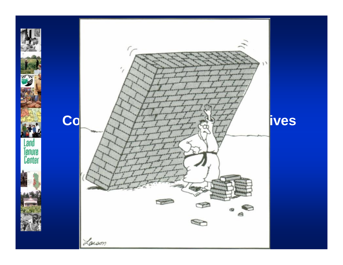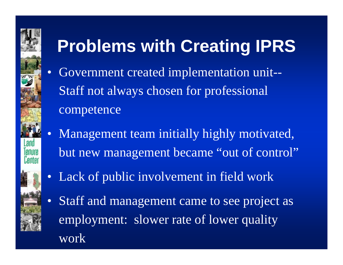## **Problems with Creating IPRS**

- Government created implementation unit-- Staff not always chosen for professional competence
- Management team initially highly motivated, but new management became "out of control"
- Lack of public involvement in field work
- Staff and management came to see project as employment: slower rate of lower quality work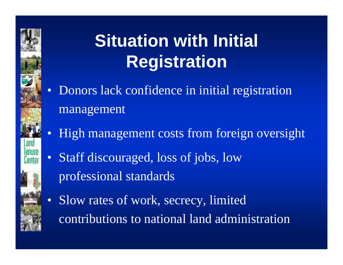#### **Situation with Initial Registration**

- Donors lack confidence in initial registration management
- High management costs from foreign oversight
- Staff discouraged, loss of jobs, low professional standards
- Slow rates of work, secrecy, limited contributions to national land administration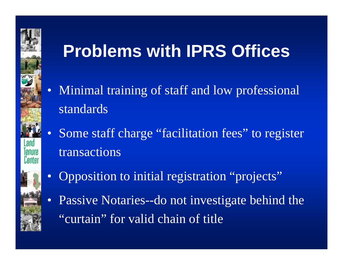#### **Problems with IPRS Offices**

- Minimal training of staff and low professional standards
- Some staff charge "facilitation fees" to register transactions
- Opposition to initial registration "projects"
- Passive Notaries--do not investigate behind the "curtain" for valid chain of title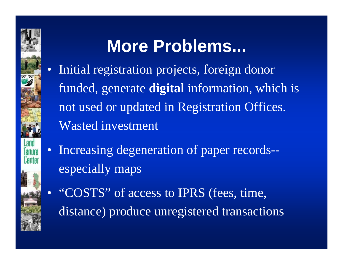

#### **More Problems...**

- Initial registration projects, foreign donor funded, generate **digital** information, which is not used or updated in Registration Offices. Wasted investment
- Increasing degeneration of paper records- especially maps
- "COSTS" of access to IPRS (fees, time, distance) produce unregistered transactions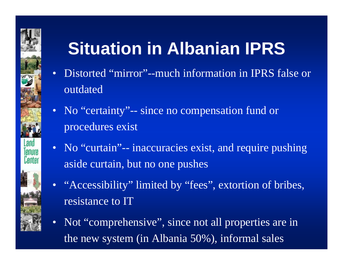#### **Situation in Albanian IPRS**

- Distorted "mirror"--much information in IPRS false or outdated
- No "certainty"-- since no compensation fund or procedures exist
- No "curtain"-- inaccuracies exist, and require pushing aside curtain, but no one pushes
- "Accessibility" limited by "fees", extortion of bribes, resistance to IT
- Not "comprehensive", since not all properties are in the new system (in Albania 50%), informal sales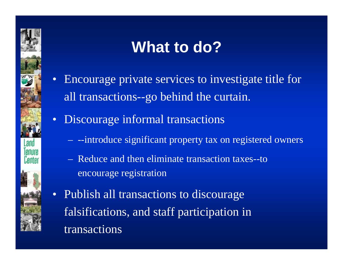# **What to do?**

- Encourage private services to investigate title for all transactions--go behind the curtain.
- Discourage informal transactions
	- --introduce significant property tax on registered owners
	- Reduce and then eliminate transaction taxes--to encourage registration
- Publish all transactions to discourage falsifications, and staff participation in transactions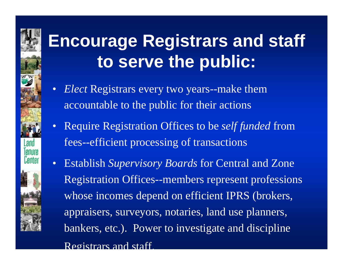#### **Encourage Registrars and staff to serve the public:**

- *Elect* Registrars every two years--make them accountable to the public for their actions
- Require Registration Offices to be *self funded* from fees--efficient processing of transactions
- Establish *Supervisory Boards* for Central and Zone Registration Offices--members represent professions whose incomes depend on efficient IPRS (brokers, appraisers, surveyors, notaries, land use planners, bankers, etc.). Power to investigate and discipline Registrars and staff.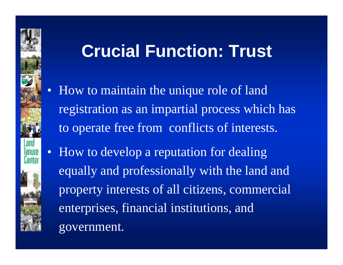#### **Crucial Function: Trust**

• How to maintain the unique role of land registration as an impartial process which has to operate free from conflicts of interests.



• How to develop a reputation for dealing equally and professionally with the land and property interests of all citizens, commercial enterprises, financial institutions, and government.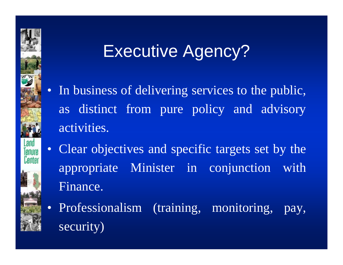#### Executive Agency?

- In business of delivering services to the public, as distinct from pure policy and advisory activities.
- Clear objectives and specific targets set by the appropriate Minister in conjunction with Finance.
- Professionalism (training, monitoring, pay, security)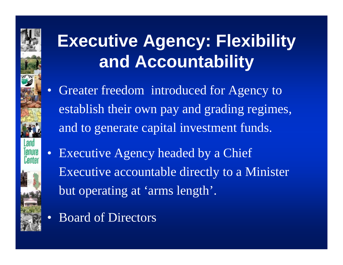#### **Executive Agency: Flexibility and Accountability**

• Greater freedom introduced for Agency to establish their own pay and grading regimes, and to generate capital investment funds.



- Executive Agency headed by a Chief Executive accountable directly to a Minister but operating at 'arms length'.
- Board of Directors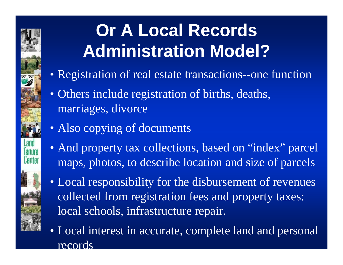

#### **Or A Local Records Administration Model?**

- Registration of real estate transactions--one function
- Others include registration of births, deaths, marriages, divorce
- Also copying of documents
- And property tax collections, based on "index" parcel maps, photos, to describe location and size of parcels
- Local responsibility for the disbursement of revenues collected from registration fees and property taxes: local schools, infrastructure repair.
- Local interest in accurate, complete land and personal **records**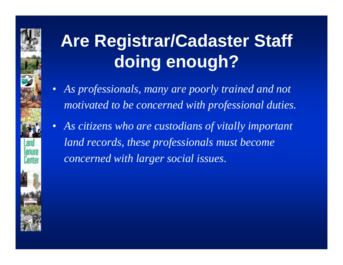#### **Are Registrar/Cadaster Staff doing enough?**

- *As professionals, many are poorly trained and not motivated to be concerned with professional duties.*
- *As citizens who are custodians of vitally important land records, these professionals must become concerned with larger social issues.*

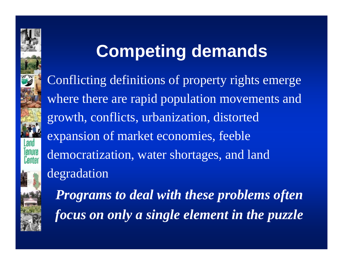#### **Competing demands**

Conflicting definitions of property rights emerge where there are rapid population movements and growth, conflicts, urbanization, distorted expansion of market economies, feeble democratization, water shortages, and land degradation

*Programs to deal with these problems often focus on only a single element in the puzzle*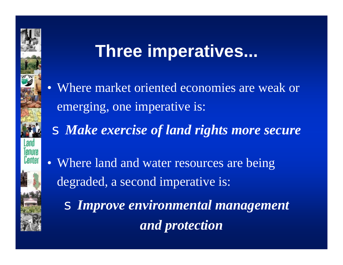#### **Three imperatives...**

- Where market oriented economies are weak or emerging, one imperative is:
	- s *Make exercise of land rights more secure*
- Where land and water resources are being degraded, a second imperative is:

s *Improve environmental management and protection*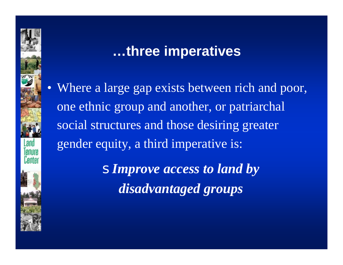#### **…three imperatives**

• Where a large gap exists between rich and poor, one ethnic group and another, or patriarchal social structures and those desiring greater gender equity, a third imperative is:

> s *Improve access to land by disadvantaged groups*

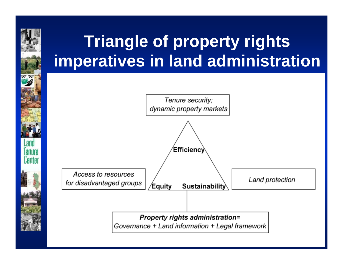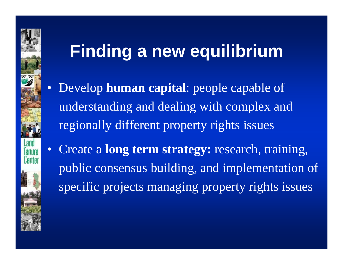#### **Finding a new equilibrium**

- Develop **human capital**: people capable of understanding and dealing with complex and regionally different property rights issues
- Create a **long term strategy:** research, training, public consensus building, and implementation of specific projects managing property rights issues

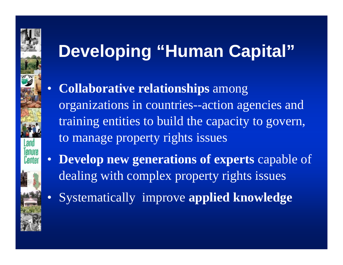## **Developing "Human Capital"**

- **Collaborative relationships** among organizations in countries--action agencies and training entities to build the capacity to govern, to manage property rights issues
- **Develop new generations of experts** capable of dealing with complex property rights issues
- Systematically improve **applied knowledge**